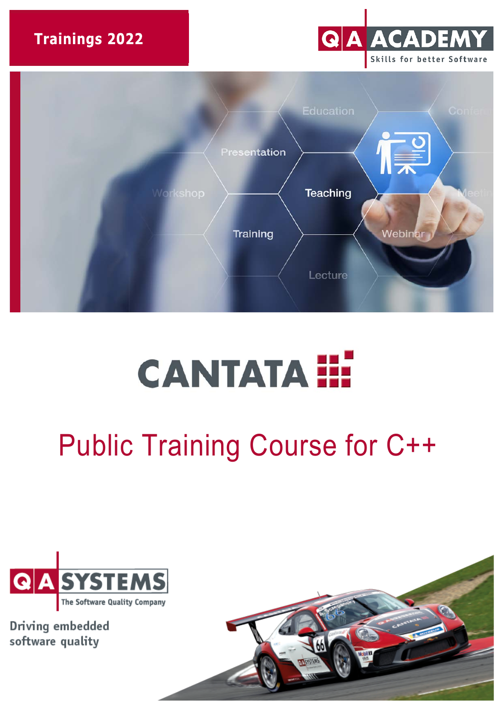**Trainings 2022** 





# **CANTATA III**

# Public Training Course for C++



Driving embedded software quality

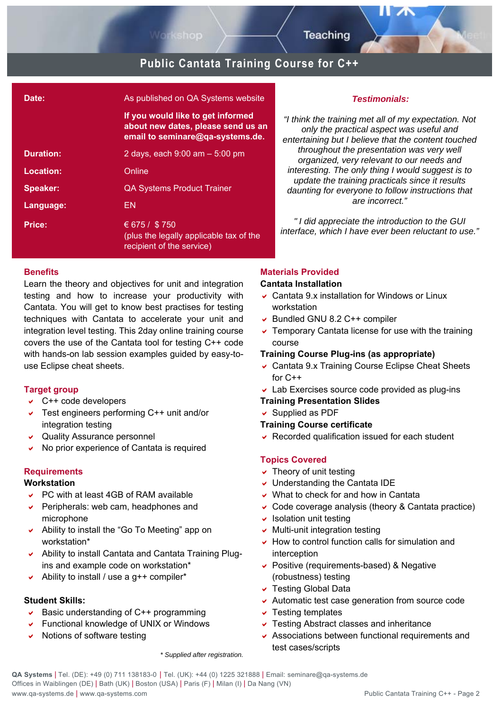

# **Public Cantata Training Course for C++**

| Date:            | As published on QA Systems website                                                                          |
|------------------|-------------------------------------------------------------------------------------------------------------|
|                  | If you would like to get informed<br>about new dates, please send us an<br>email to seminare@qa-systems.de. |
| <b>Duration:</b> | 2 days, each $9:00$ am $-5:00$ pm                                                                           |
| Location:        | Online                                                                                                      |
| Speaker:         | <b>QA Systems Product Trainer</b>                                                                           |
| Language:        | EN                                                                                                          |
| Price:           | € 675 / \$750<br>(plus the legally applicable tax of the<br>recipient of the service)                       |

#### **Benefits**

Learn the theory and objectives for unit and integration testing and how to increase your productivity with Cantata. You will get to know best practises for testing techniques with Cantata to accelerate your unit and integration level testing. This 2day online training course covers the use of the Cantata tool for testing C++ code with hands-on lab session examples guided by easy-touse Eclipse cheat sheets.

#### **Target group**

- $\vee$  C++ code developers
- Test engineers performing C++ unit and/or integration testing
- Quality Assurance personnel
- $\vee$  No prior experience of Cantata is required

#### **Requirements**

#### **Workstation**

- PC with at least 4GB of RAM available
- $\triangleright$  Peripherals: web cam, headphones and microphone
- Ability to install the "Go To Meeting" app on workstation\*
- Ability to install Cantata and Cantata Training Plugins and example code on workstation\*
- Ability to install / use a  $q++$  compiler\*

#### **Student Skills:**

- Basic understanding of  $C++$  programming
- Functional knowledge of UNIX or Windows
- $\vee$  Notions of software testing

#### *Testimonials:*

*"I think the training met all of my expectation. Not only the practical aspect was useful and entertaining but I believe that the content touched throughout the presentation was very well organized, very relevant to our needs and interesting. The only thing I would suggest is to update the training practicals since it results daunting for everyone to follow instructions that are incorrect."* 

*" I did appreciate the introduction to the GUI interface, which I have ever been reluctant to use."*

#### **Materials Provided**

#### **Cantata Installation**

- Cantata 9.x installation for Windows or Linux workstation
- Bundled GNU 8.2 C++ compiler
- $\overline{\phantom{a}}$  Temporary Cantata license for use with the training course

#### **Training Course Plug-ins (as appropriate)**

- Cantata 9.x Training Course Eclipse Cheat Sheets for  $C++$
- Lab Exercises source code provided as plug-ins

#### **Training Presentation Slides**

 $\vee$  Supplied as PDF

- **Training Course certificate**
- $\vee$  Recorded qualification issued for each student

#### **Topics Covered**

- $\overline{\phantom{a}}$  Theory of unit testing
- Understanding the Cantata IDE
- $\vee$  What to check for and how in Cantata
- Code coverage analysis (theory & Cantata practice)
- $\overline{\phantom{a}}$  Isolation unit testing
- $\vee$  Multi-unit integration testing
- $\vee$  How to control function calls for simulation and interception
- Positive (requirements-based) & Negative (robustness) testing
- Testing Global Data
- Automatic test case generation from source code
- $\overline{\phantom{a}}$  Testing templates
- Testing Abstract classes and inheritance
- Associations between functional requirements and test cases/scripts

*\* Supplied after registration.*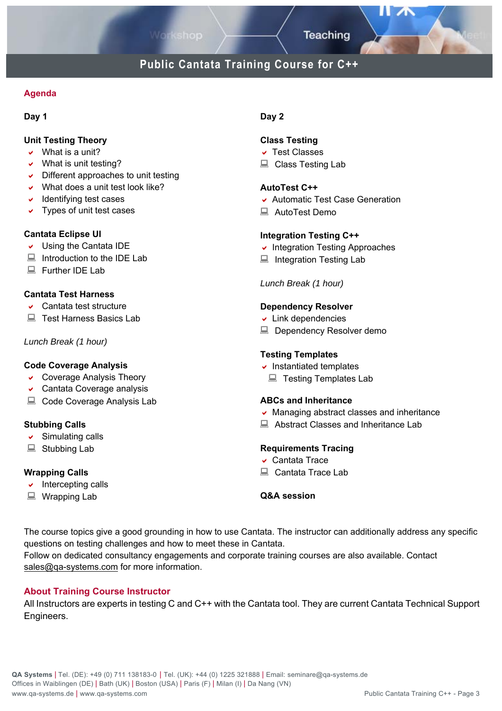**Teaching** 

## **Public Cantata Training Course for C++**

#### **Agenda**

#### **Day 1**

#### **Unit Testing Theory**

- $\vee$  What is a unit?
- $\vee$  What is unit testing?
- $\triangleright$  Different approaches to unit testing
- $\vee$  What does a unit test look like?
- $\overline{\phantom{a}}$  Identifying test cases
- $\triangledown$  Types of unit test cases

#### **Cantata Eclipse UI**

- Using the Cantata IDE
- $\Box$  Introduction to the IDE Lab
- Further IDE Lab

#### **Cantata Test Harness**

- Cantata test structure
- Test Harness Basics Lab

#### *Lunch Break (1 hour)*

#### **Code Coverage Analysis**

- Coverage Analysis Theory
- Cantata Coverage analysis
- Code Coverage Analysis Lab

#### **Stubbing Calls**

- $\vee$  Simulating calls
- Stubbing Lab

#### **Wrapping Calls**

- $\overline{\phantom{a}}$  Intercepting calls
- Wrapping Lab

#### **Day 2**

#### **Class Testing**

- Test Classes
- Class Testing Lab

#### **AutoTest C++**

- Automatic Test Case Generation
- AutoTest Demo

#### **Integration Testing C++**

- $\cdot$  Integration Testing Approaches
- Integration Testing Lab

*Lunch Break (1 hour)* 

#### **Dependency Resolver**

- $\overline{\phantom{a}}$  Link dependencies
- Dependency Resolver demo

#### **Testing Templates**

- $\overline{\phantom{a}}$  Instantiated templates
	- Testing Templates Lab

#### **ABCs and Inheritance**

- $\vee$  Managing abstract classes and inheritance
- Abstract Classes and Inheritance Lab

#### **Requirements Tracing**

- Cantata Trace
- Cantata Trace Lab

#### **Q&A session**

The course topics give a good grounding in how to use Cantata. The instructor can additionally address any specific questions on testing challenges and how to meet these in Cantata.

Follow on dedicated consultancy engagements and corporate training courses are also available. Contact sales@qa-systems.com for more information.

#### **About Training Course Instructor**

All Instructors are experts in testing C and C++ with the Cantata tool. They are current Cantata Technical Support Engineers.